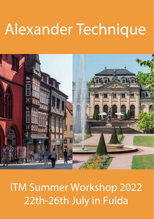# Alexander Technique



ITM Summer Workshop 2022 22th-26th July in Fulda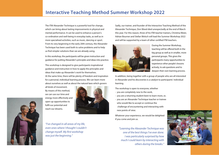The ITM Alexander Technique is a powerful tool for change, which can bring about lasting improvements in physical and mental performance. It can be used to enhance a person's co-ordination and well-being in everyday tasks, as well as in more specialised activities, such as music, dancing or sport. From its very beginning in the early 20th century, the Alexander Technique has been used both to solve problems and to help us find simpler solutions than we are already using.

In this workshop, the participants will be given instruction and guidance for putting Alexander's principles and ideas into practice.

This workshop is designed to give participants inspirational guidance and instruction in how to apply the principles and ideas that make up Alexander's work for themselves. At the same time, there will be plenty of freedom and inspiration for a personal, individual learning process. We can learn more about ourselves as well as about the natural laws which govern

all kinds of movement. By means of this method, we can use our time and energy more effectively and open up opportunities to fulfil our potential and reach our dreams.



*"I've changed in all areas of my life, even ones where I thought I couldn't change myself. My first workshop was just the beginning."*

Sadly, our trainer, and founder of the Interactive Teaching Method of the Alexander Technique, Don Weed died unexpectedly at the end of March this year. For this reason, three of his ITM teacher trainers, Christina Meier, Adrian Bourner and Stefan Welsch will lead the Summer Workshop 2022 and will be supported by a team of other certified ITM teachers.



During the Summer Workshop, teaching will be offered both in the big group as well as in smaller, more personal groups. This gives the participants many opportunities to experience other people's lessons actively, to ask questions and to deepen their own learning process.

In addition, being together with a group of people who are all interested in Alexander and his discoveries is a catalyst to participants' individual learning.

The workshop is open to everyone, whether

- you are completely new to the work,
- you are a returning student keen to learn more, or,
- you are an Alexander Technique teacher or trainee who would like to accept or continue the challenge of encountering and interacting with new points of view.

Whatever your experience, we would be delighted if you come and join us.

*"Learning the Alexander Technique was one of the best things I've ever done. I was particularly surprised by how much I could learn by interacting with others during the breaks."*



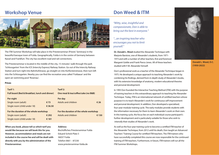## **Interactive Teaching Method Summer Workshop 2022 Workshop Venue Don Weed & ITM**



The ITM Summer Workshop will take place in the Priesterseminar (Priests' Seminary) in the beautiful baroque town of Fulda. Geographically, Fulda is in the centre of Germany between Kassel and Frankfurt. The city has excellent road and rail connections.

The Priesterseminar is located in the middle of the city, 15 minutes' walk through the park 'Schlossgarten' from the ICE (Intercity Express) Railway Station. Go out of the Intercity Railway Station and turn right into Bahnhofstrasse, go straight on into Kürfürstenstrasse, then turn left into the Schlossgarten. Nearby you can find the recreation area called 'Fuldaaue' and the open-air swimming pool 'Rosenau'.

#### **Prices**

| Per night<br>Per day<br>Adults and children<br>Single room (adult)<br>$\epsilon$ 73<br>$\epsilon$ 26<br>Single room (child under 18)<br>€ 36.50<br>For the duration of the whole workshop<br>For the duration of the whole workshop<br>Adults and children<br>€ 292<br>Single room (adult)<br>Single room (child under 18)<br>€ 181 | Tarif 1:<br><b>Full board (Bed &amp; Breakfast, lunch and dinner)</b> | Tarif 2:<br>One meal & tea/coffee/cake (no B&B) |       |
|-------------------------------------------------------------------------------------------------------------------------------------------------------------------------------------------------------------------------------------------------------------------------------------------------------------------------------------|-----------------------------------------------------------------------|-------------------------------------------------|-------|
|                                                                                                                                                                                                                                                                                                                                     |                                                                       |                                                 |       |
|                                                                                                                                                                                                                                                                                                                                     |                                                                       |                                                 | € 130 |

**When you book, please tell us which tarif you would like because we will book this for you. However, accommodation and meals are not included in the course fee and will be dealt with directly with you by the administration of the Priesterseminar.** 

#### **Address:**

Bischöfliches Priesterseminar Fulda Eduard-Schick-Platz 5 36037 Fulda Telefon 0661 – 87230 www.priesterseminar-fulda.de

*"Witty, wise, insightful and compassionate, Don is able to bring out the best in everyone."*

*"...an inspiring teacher who encourages you not to limit yourself."*

**Dr. Donald L. Weed** studied the Alexander Technique with Marjorie Barstow, one of Alexander's students, from 1971- 1973 and with a number of other teachers, first and foremost Margaret Goldie and Frank Pierce Jones. All of these teachers studied with F.M. Alexander himself.

Don's professional work as a teacher of the Alexander Technique began in 1975. He developed a unique approach to teaching Alexander's work by combining his findings, derived from in-depth study of Alexander's books, with his extensive knowledge of anatomy, modern educational theories and personal development.

In 1993 Don founded the Interactive Teaching Method (ITM) with the purpose of training teachers in this extraordinary approach to teaching the Alexander Technique. Today, ITM is an international network of certified teachers whose purpose it is to teach Alexander's work for continuous self-improvement and personal development. In addition, Don developed a specialised, four-year modular training cycle. The early modules provide students with the information necessary for them to learn Alexander's work on their own. In this training cycle, the focus lies on each individual course participant's further development and is particularly suitable for those who wish to intensify their studies of Alexander's work.

As well as the four-year training cycle to become a certified ITM teacher of the Alexander Technique, from 2012 until his death, Don taught an Advanced Teachers' Training Course for certified ITM teachers. The ITM trainers who have successfully completed this course are now responsible for the continued training of ITM teachers. Furthermore, in future, ITM trainers will run all the ITM Summer Workshops.



**Donald L. Weed, D.C. (1950-2022)**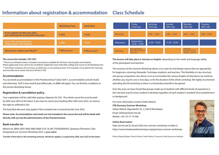## **Information about registration & accommodation Class Schedule**



#### **The course fee includes 19% VAT.**

\* There are a limited number of student concessions available for full-time school pupils and students. Please apply early if you wish to be considered. Applicants must state their college and course on the Booking Form. \*\* One block comprises of a morning, an afternoon or an evening session. (For example, if you attend one morning and one afternoon session the price will be  $\in$  120).

#### **Accommodation**

You can book accommodation in the Priesterseminar Fulda (Tarif 1: accommodation and all meals) and otherwise, Tarif 2 (one meal & tea/coffee/cake, no B&B) will apply. You can find the conditions in the section Workshop Venue.

### **Registration & cancellation policy**

Your registration will be valid after paying a deposit of € 250. The whole course fee must be paid by 20th June 2022 at the latest. If you have to cancel your booking after 20th June 2022, we reserve the right to withhold  $\in$  250.

The Early Bird discount only applies if the complete fee is received by 6th June 2022.

**Please note: Accommodation and meals are not included in the course fee and will be dealt with directly with you by the administration of the Priesterseminar.** 

#### **Bank transfer to:**

Welsch eG, IBAN: DE97 6665 0085 0008 3125 16, BIC: PZHSDE66XXX, Sparkasse Pforzheim Calw Designated use: Summer Workshop 2022 **+ your name**

**Transfer of the total or the remaining amount, whichever applies, is required by 20th June 2022 at the latest.**



**The lessons will take place in German or English,** depending on the needs and language ability of the participants and teachers.

The structure of this Summer Workshop allows us to cater for and design classes that are appropriate for beginners, returning Alexander Technique students, and teachers. This flexibility in class structure and group composition also allows us to accommodate the various lengths of attendance by students, whether you stay for one or two days, or for the duration of the whole workshop. We highly recommend attending the full workshop as there is a tremendous benefit to be gained.

Over the years we have found that groups made up of students with different levels of experience is the very best way for every student to develop regardless of each student's standard of accomplishment or background.

For more information contact Stefan Welsch **ITM Germany Summer Workshop**  Stefan Welsch, Elgendorfer Str. 3, 56410 Montabaur Email: stefan@welsch-itm.de Mobile: +49 172 77 19 348

#### **Online Reservation:**

http://at-itm.de/22-26-juli-2022-itm-sommer-workshop-in-fulda or https://www.itmalexandertechnique.org/germany-summer-workshops

Photos: Raphael Bogen, Dietrich Skrock, Stefan Welsch, Tourismus Fulda (tourismus-fulda.de)